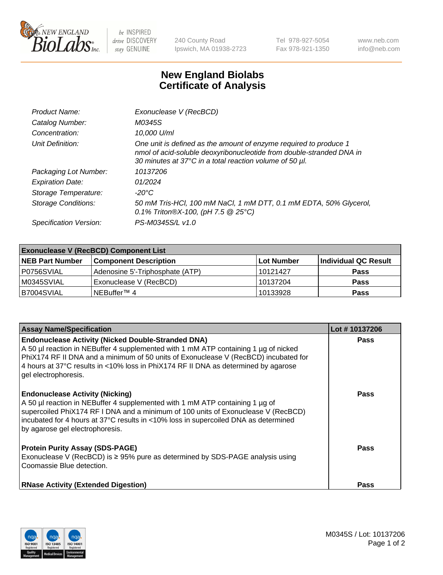

 $be$  INSPIRED drive DISCOVERY stay GENUINE

240 County Road Ipswich, MA 01938-2723 Tel 978-927-5054 Fax 978-921-1350 www.neb.com info@neb.com

## **New England Biolabs Certificate of Analysis**

| Product Name:              | Exonuclease V (RecBCD)                                                                                                                                                                               |
|----------------------------|------------------------------------------------------------------------------------------------------------------------------------------------------------------------------------------------------|
| Catalog Number:            | M0345S                                                                                                                                                                                               |
| Concentration:             | 10,000 U/ml                                                                                                                                                                                          |
| Unit Definition:           | One unit is defined as the amount of enzyme required to produce 1<br>nmol of acid-soluble deoxyribonucleotide from double-stranded DNA in<br>30 minutes at 37°C in a total reaction volume of 50 µl. |
| Packaging Lot Number:      | 10137206                                                                                                                                                                                             |
| <b>Expiration Date:</b>    | 01/2024                                                                                                                                                                                              |
| Storage Temperature:       | -20°C                                                                                                                                                                                                |
| <b>Storage Conditions:</b> | 50 mM Tris-HCl, 100 mM NaCl, 1 mM DTT, 0.1 mM EDTA, 50% Glycerol,<br>0.1% Triton®X-100, (pH 7.5 $@25°C$ )                                                                                            |
| Specification Version:     | PS-M0345S/L v1.0                                                                                                                                                                                     |

| <b>Exonuclease V (RecBCD) Component List</b> |                                 |                   |                      |  |
|----------------------------------------------|---------------------------------|-------------------|----------------------|--|
| <b>NEB Part Number</b>                       | <b>Component Description</b>    | <b>Lot Number</b> | Individual QC Result |  |
| P0756SVIAL                                   | Adenosine 5'-Triphosphate (ATP) | 10121427          | <b>Pass</b>          |  |
| IM0345SVIAL                                  | Exonuclease V (RecBCD)          | 10137204          | <b>Pass</b>          |  |
| B7004SVIAL                                   | INEBuffer™ 4                    | 10133928          | <b>Pass</b>          |  |

| <b>Assay Name/Specification</b>                                                                                                                                                                                                                                                                                                                       | Lot #10137206 |
|-------------------------------------------------------------------------------------------------------------------------------------------------------------------------------------------------------------------------------------------------------------------------------------------------------------------------------------------------------|---------------|
| <b>Endonuclease Activity (Nicked Double-Stranded DNA)</b><br>A 50 µl reaction in NEBuffer 4 supplemented with 1 mM ATP containing 1 µg of nicked<br>PhiX174 RF II DNA and a minimum of 50 units of Exonuclease V (RecBCD) incubated for<br>4 hours at 37°C results in <10% loss in PhiX174 RF II DNA as determined by agarose<br>gel electrophoresis. | <b>Pass</b>   |
| <b>Endonuclease Activity (Nicking)</b><br>A 50 µl reaction in NEBuffer 4 supplemented with 1 mM ATP containing 1 µg of<br>supercoiled PhiX174 RF I DNA and a minimum of 100 units of Exonuclease V (RecBCD)<br>incubated for 4 hours at 37°C results in <10% loss in supercoiled DNA as determined<br>by agarose gel electrophoresis.                 | <b>Pass</b>   |
| <b>Protein Purity Assay (SDS-PAGE)</b><br>Exonuclease V (RecBCD) is $\geq$ 95% pure as determined by SDS-PAGE analysis using<br>Coomassie Blue detection.                                                                                                                                                                                             | <b>Pass</b>   |
| <b>RNase Activity (Extended Digestion)</b>                                                                                                                                                                                                                                                                                                            | <b>Pass</b>   |